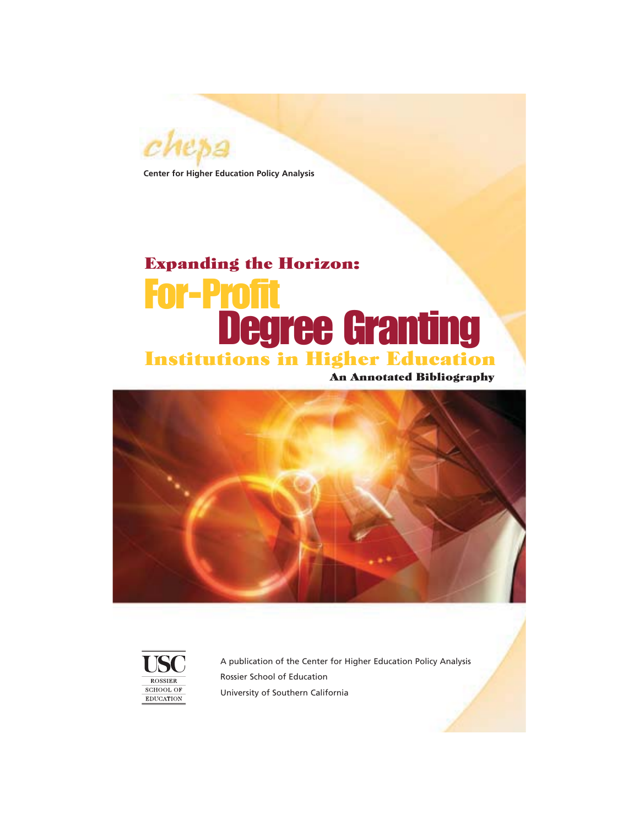

**Center for Higher Education Policy Analysis**

## For-Profit Degree Granting Expanding the Horizon: Institutions in Higher Education

An Annotated Bibliography





A publication of the Center for Higher Education Policy Analysis Rossier School of Education University of Southern California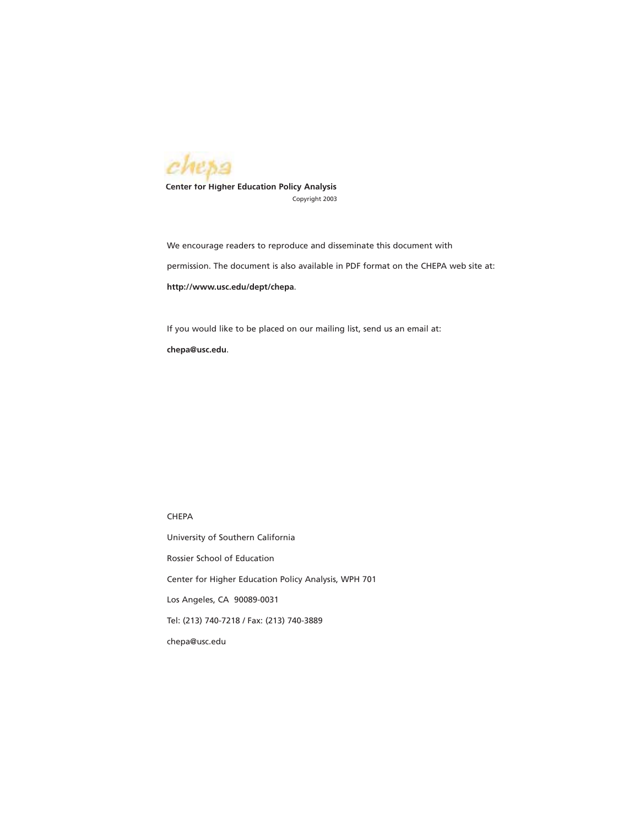

**Center for Higher Education Policy Analysis** Copyright 2003

We encourage readers to reproduce and disseminate this document with permission. The document is also available in PDF format on the CHEPA web site at: **http://www.usc.edu/dept/chepa**.

If you would like to be placed on our mailing list, send us an email at:

**chepa@usc.edu**.

#### CHEPA

University of Southern California Rossier School of Education Center for Higher Education Policy Analysis, WPH 701 Los Angeles, CA 90089-0031 Tel: (213) 740-7218 / Fax: (213) 740-3889 chepa@usc.edu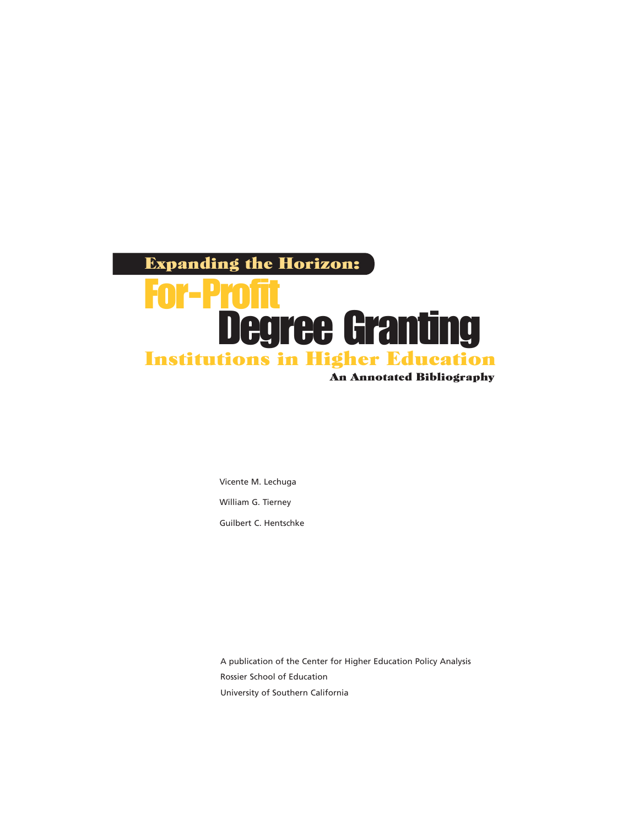# r-Pro Degree Granting Expanding the Horizon: Institutions in Higher Education

### An Annotated Bibliography

Vicente M. Lechuga

William G. Tierney

Guilbert C. Hentschke

A publication of the Center for Higher Education Policy Analysis Rossier School of Education University of Southern California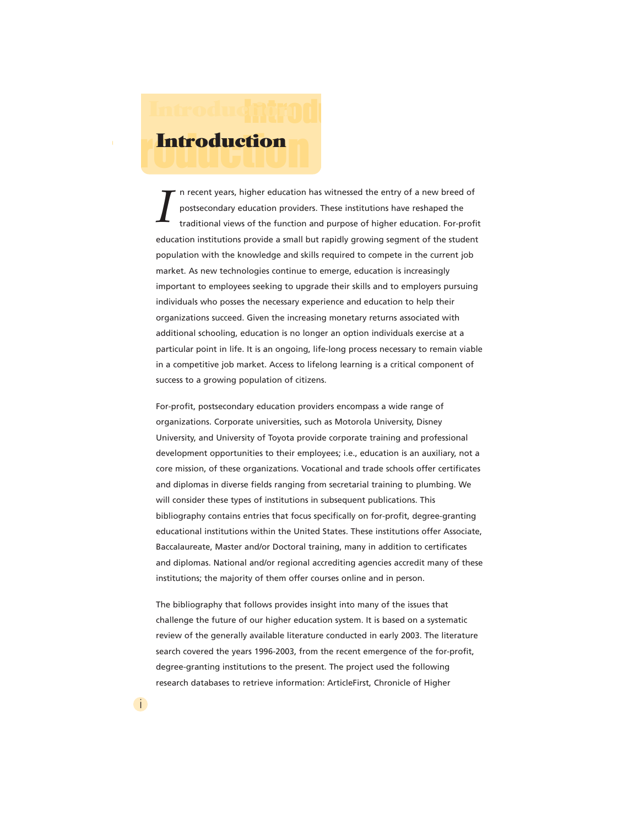### **Introduction**

Introduc<mark>tifit Od</mark>

*I* n recent years, higher education has witnessed the entry of a new breed of postsecondary education providers. These institutions have reshaped the traditional views of the function and purpose of higher education. For-profit education institutions provide a small but rapidly growing segment of the student population with the knowledge and skills required to compete in the current job market. As new technologies continue to emerge, education is increasingly important to employees seeking to upgrade their skills and to employers pursuing individuals who posses the necessary experience and education to help their organizations succeed. Given the increasing monetary returns associated with additional schooling, education is no longer an option individuals exercise at a particular point in life. It is an ongoing, life-long process necessary to remain viable in a competitive job market. Access to lifelong learning is a critical component of success to a growing population of citizens.

For-profit, postsecondary education providers encompass a wide range of organizations. Corporate universities, such as Motorola University, Disney University, and University of Toyota provide corporate training and professional development opportunities to their employees; i.e., education is an auxiliary, not a core mission, of these organizations. Vocational and trade schools offer certificates and diplomas in diverse fields ranging from secretarial training to plumbing. We will consider these types of institutions in subsequent publications. This bibliography contains entries that focus specifically on for-profit, degree-granting educational institutions within the United States. These institutions offer Associate, Baccalaureate, Master and/or Doctoral training, many in addition to certificates and diplomas. National and/or regional accrediting agencies accredit many of these institutions; the majority of them offer courses online and in person.

The bibliography that follows provides insight into many of the issues that challenge the future of our higher education system. It is based on a systematic review of the generally available literature conducted in early 2003. The literature search covered the years 1996-2003, from the recent emergence of the for-profit, degree-granting institutions to the present. The project used the following research databases to retrieve information: ArticleFirst, Chronicle of Higher

i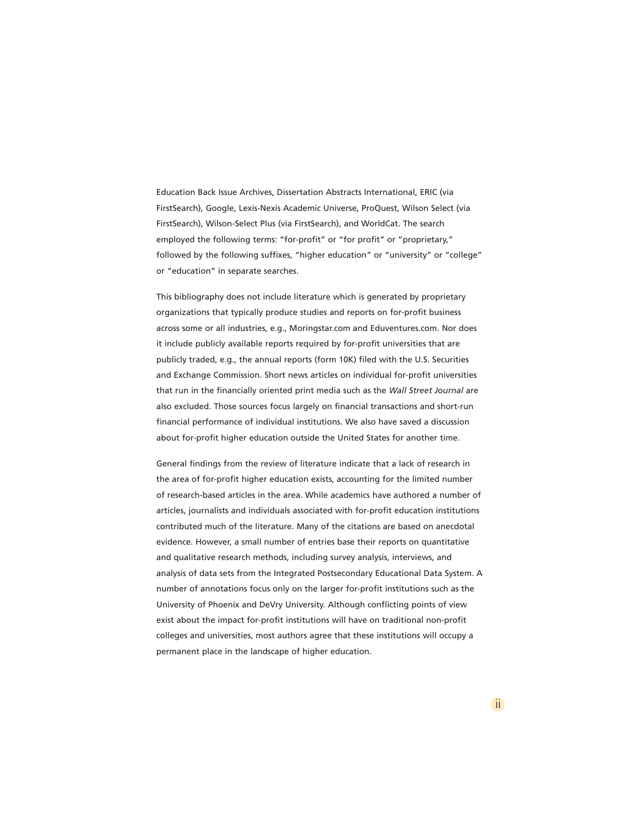Education Back Issue Archives, Dissertation Abstracts International, ERIC (via FirstSearch), Google, Lexis-Nexis Academic Universe, ProQuest, Wilson Select (via FirstSearch), Wilson-Select Plus (via FirstSearch), and WorldCat. The search employed the following terms: "for-profit" or "for profit" or "proprietary," followed by the following suffixes, "higher education" or "university" or "college" or "education" in separate searches.

This bibliography does not include literature which is generated by proprietary organizations that typically produce studies and reports on for-profit business across some or all industries, e.g., Moringstar.com and Eduventures.com. Nor does it include publicly available reports required by for-profit universities that are publicly traded, e.g., the annual reports (form 10K) filed with the U.S. Securities and Exchange Commission. Short news articles on individual for-profit universities that run in the financially oriented print media such as the *Wall Street Journal* are also excluded. Those sources focus largely on financial transactions and short-run financial performance of individual institutions. We also have saved a discussion about for-profit higher education outside the United States for another time.

General findings from the review of literature indicate that a lack of research in the area of for-profit higher education exists, accounting for the limited number of research-based articles in the area. While academics have authored a number of articles, journalists and individuals associated with for-profit education institutions contributed much of the literature. Many of the citations are based on anecdotal evidence. However, a small number of entries base their reports on quantitative and qualitative research methods, including survey analysis, interviews, and analysis of data sets from the Integrated Postsecondary Educational Data System. A number of annotations focus only on the larger for-profit institutions such as the University of Phoenix and DeVry University. Although conflicting points of view exist about the impact for-profit institutions will have on traditional non-profit colleges and universities, most authors agree that these institutions will occupy a permanent place in the landscape of higher education.

ii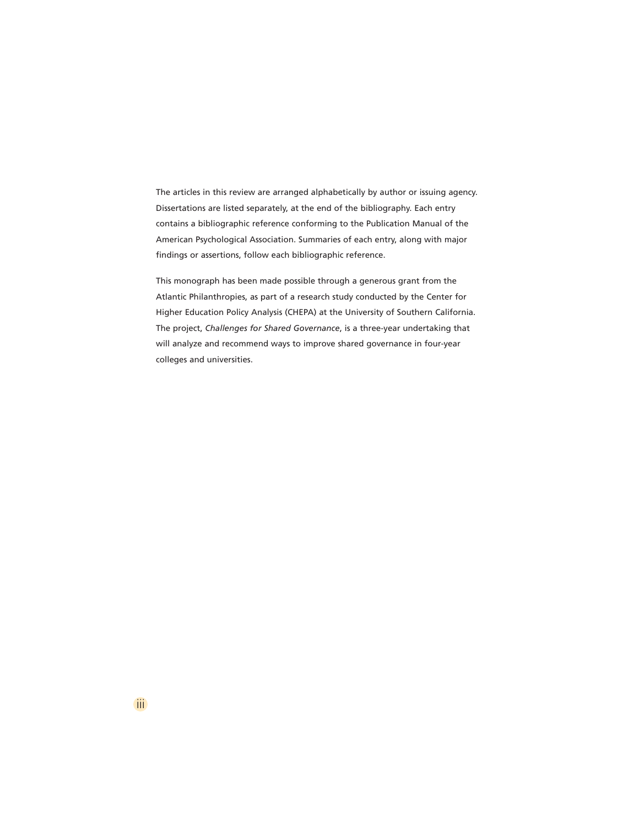The articles in this review are arranged alphabetically by author or issuing agency. Dissertations are listed separately, at the end of the bibliography. Each entry contains a bibliographic reference conforming to the Publication Manual of the American Psychological Association. Summaries of each entry, along with major findings or assertions, follow each bibliographic reference.

This monograph has been made possible through a generous grant from the Atlantic Philanthropies, as part of a research study conducted by the Center for Higher Education Policy Analysis (CHEPA) at the University of Southern California. The project, *Challenges for Shared Governance*, is a three-year undertaking that will analyze and recommend ways to improve shared governance in four-year colleges and universities.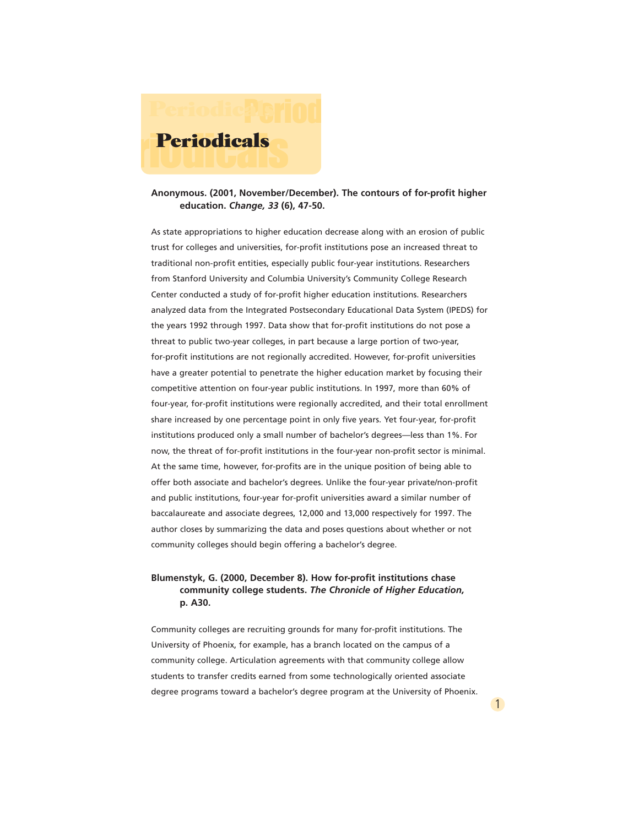

#### **Anonymous. (2001, November/December). The contours of for-profit higher education.** *Change, 33* **(6), 47-50.**

As state appropriations to higher education decrease along with an erosion of public trust for colleges and universities, for-profit institutions pose an increased threat to traditional non-profit entities, especially public four-year institutions. Researchers from Stanford University and Columbia University's Community College Research Center conducted a study of for-profit higher education institutions. Researchers analyzed data from the Integrated Postsecondary Educational Data System (IPEDS) for the years 1992 through 1997. Data show that for-profit institutions do not pose a threat to public two-year colleges, in part because a large portion of two-year, for-profit institutions are not regionally accredited. However, for-profit universities have a greater potential to penetrate the higher education market by focusing their competitive attention on four-year public institutions. In 1997, more than 60% of four-year, for-profit institutions were regionally accredited, and their total enrollment share increased by one percentage point in only five years. Yet four-year, for-profit institutions produced only a small number of bachelor's degrees—less than 1%. For now, the threat of for-profit institutions in the four-year non-profit sector is minimal. At the same time, however, for-profits are in the unique position of being able to offer both associate and bachelor's degrees. Unlike the four-year private/non-profit and public institutions, four-year for-profit universities award a similar number of baccalaureate and associate degrees, 12,000 and 13,000 respectively for 1997. The author closes by summarizing the data and poses questions about whether or not community colleges should begin offering a bachelor's degree.

#### **Blumenstyk, G. (2000, December 8). How for-profit institutions chase community college students.** *The Chronicle of Higher Education,* **p. A30.**

Community colleges are recruiting grounds for many for-profit institutions. The University of Phoenix, for example, has a branch located on the campus of a community college. Articulation agreements with that community college allow students to transfer credits earned from some technologically oriented associate degree programs toward a bachelor's degree program at the University of Phoenix.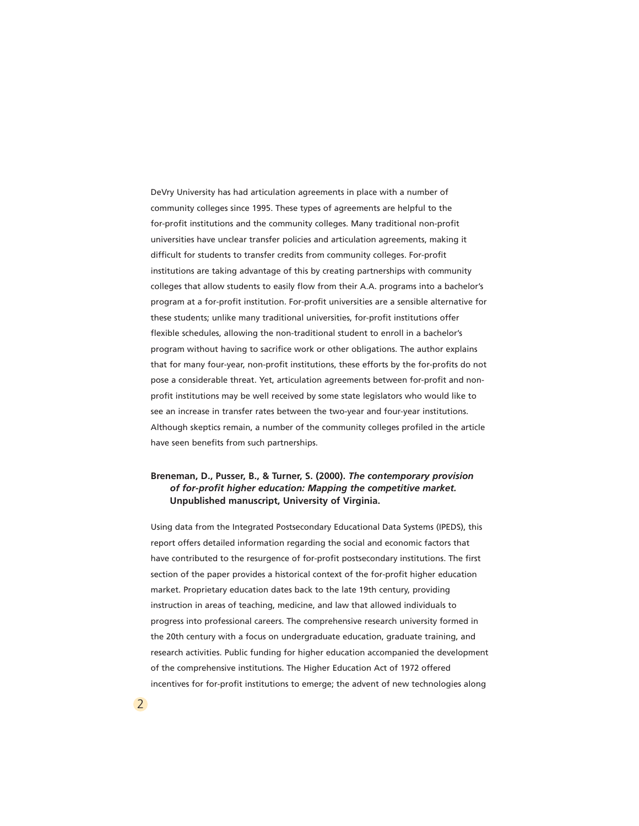DeVry University has had articulation agreements in place with a number of community colleges since 1995. These types of agreements are helpful to the for-profit institutions and the community colleges. Many traditional non-profit universities have unclear transfer policies and articulation agreements, making it difficult for students to transfer credits from community colleges. For-profit institutions are taking advantage of this by creating partnerships with community colleges that allow students to easily flow from their A.A. programs into a bachelor's program at a for-profit institution. For-profit universities are a sensible alternative for these students; unlike many traditional universities, for-profit institutions offer flexible schedules, allowing the non-traditional student to enroll in a bachelor's program without having to sacrifice work or other obligations. The author explains that for many four-year, non-profit institutions, these efforts by the for-profits do not pose a considerable threat. Yet, articulation agreements between for-profit and nonprofit institutions may be well received by some state legislators who would like to see an increase in transfer rates between the two-year and four-year institutions. Although skeptics remain, a number of the community colleges profiled in the article have seen benefits from such partnerships.

#### **Breneman, D., Pusser, B., & Turner, S. (2000).** *The contemporary provision of for-profit higher education: Mapping the competitive market.* **Unpublished manuscript, University of Virginia.**

Using data from the Integrated Postsecondary Educational Data Systems (IPEDS), this report offers detailed information regarding the social and economic factors that have contributed to the resurgence of for-profit postsecondary institutions. The first section of the paper provides a historical context of the for-profit higher education market. Proprietary education dates back to the late 19th century, providing instruction in areas of teaching, medicine, and law that allowed individuals to progress into professional careers. The comprehensive research university formed in the 20th century with a focus on undergraduate education, graduate training, and research activities. Public funding for higher education accompanied the development of the comprehensive institutions. The Higher Education Act of 1972 offered incentives for for-profit institutions to emerge; the advent of new technologies along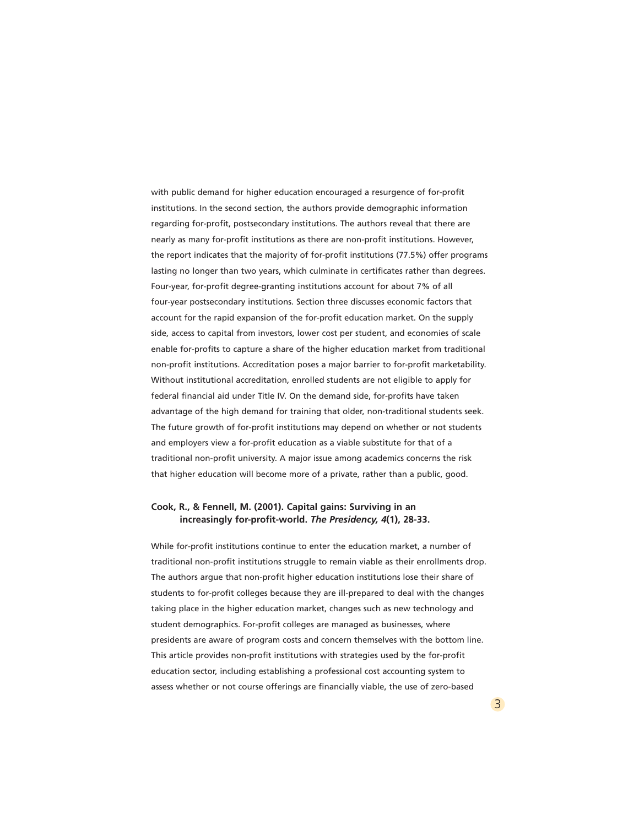with public demand for higher education encouraged a resurgence of for-profit institutions. In the second section, the authors provide demographic information regarding for-profit, postsecondary institutions. The authors reveal that there are nearly as many for-profit institutions as there are non-profit institutions. However, the report indicates that the majority of for-profit institutions (77.5%) offer programs lasting no longer than two years, which culminate in certificates rather than degrees. Four-year, for-profit degree-granting institutions account for about 7% of all four-year postsecondary institutions. Section three discusses economic factors that account for the rapid expansion of the for-profit education market. On the supply side, access to capital from investors, lower cost per student, and economies of scale enable for-profits to capture a share of the higher education market from traditional non-profit institutions. Accreditation poses a major barrier to for-profit marketability. Without institutional accreditation, enrolled students are not eligible to apply for federal financial aid under Title IV. On the demand side, for-profits have taken advantage of the high demand for training that older, non-traditional students seek. The future growth of for-profit institutions may depend on whether or not students and employers view a for-profit education as a viable substitute for that of a traditional non-profit university. A major issue among academics concerns the risk that higher education will become more of a private, rather than a public, good.

#### **Cook, R., & Fennell, M. (2001). Capital gains: Surviving in an increasingly for-profit-world.** *The Presidency, 4***(1), 28-33.**

While for-profit institutions continue to enter the education market, a number of traditional non-profit institutions struggle to remain viable as their enrollments drop. The authors argue that non-profit higher education institutions lose their share of students to for-profit colleges because they are ill-prepared to deal with the changes taking place in the higher education market, changes such as new technology and student demographics. For-profit colleges are managed as businesses, where presidents are aware of program costs and concern themselves with the bottom line. This article provides non-profit institutions with strategies used by the for-profit education sector, including establishing a professional cost accounting system to assess whether or not course offerings are financially viable, the use of zero-based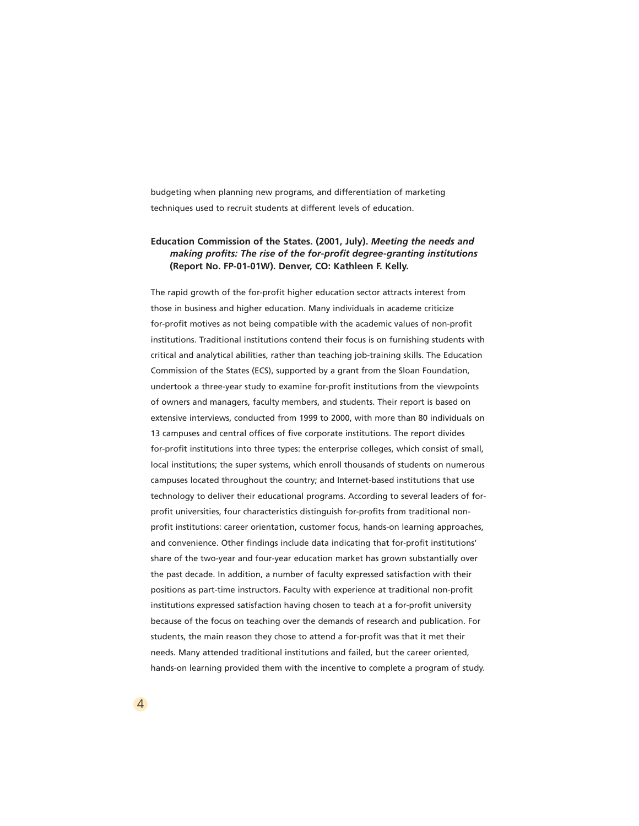budgeting when planning new programs, and differentiation of marketing techniques used to recruit students at different levels of education.

#### **Education Commission of the States. (2001, July).** *Meeting the needs and making profits: The rise of the for-profit degree-granting institutions* **(Report No. FP-01-01W). Denver, CO: Kathleen F. Kelly.**

The rapid growth of the for-profit higher education sector attracts interest from those in business and higher education. Many individuals in academe criticize for-profit motives as not being compatible with the academic values of non-profit institutions. Traditional institutions contend their focus is on furnishing students with critical and analytical abilities, rather than teaching job-training skills. The Education Commission of the States (ECS), supported by a grant from the Sloan Foundation, undertook a three-year study to examine for-profit institutions from the viewpoints of owners and managers, faculty members, and students. Their report is based on extensive interviews, conducted from 1999 to 2000, with more than 80 individuals on 13 campuses and central offices of five corporate institutions. The report divides for-profit institutions into three types: the enterprise colleges, which consist of small, local institutions; the super systems, which enroll thousands of students on numerous campuses located throughout the country; and Internet-based institutions that use technology to deliver their educational programs. According to several leaders of forprofit universities, four characteristics distinguish for-profits from traditional nonprofit institutions: career orientation, customer focus, hands-on learning approaches, and convenience. Other findings include data indicating that for-profit institutions' share of the two-year and four-year education market has grown substantially over the past decade. In addition, a number of faculty expressed satisfaction with their positions as part-time instructors. Faculty with experience at traditional non-profit institutions expressed satisfaction having chosen to teach at a for-profit university because of the focus on teaching over the demands of research and publication. For students, the main reason they chose to attend a for-profit was that it met their needs. Many attended traditional institutions and failed, but the career oriented, hands-on learning provided them with the incentive to complete a program of study.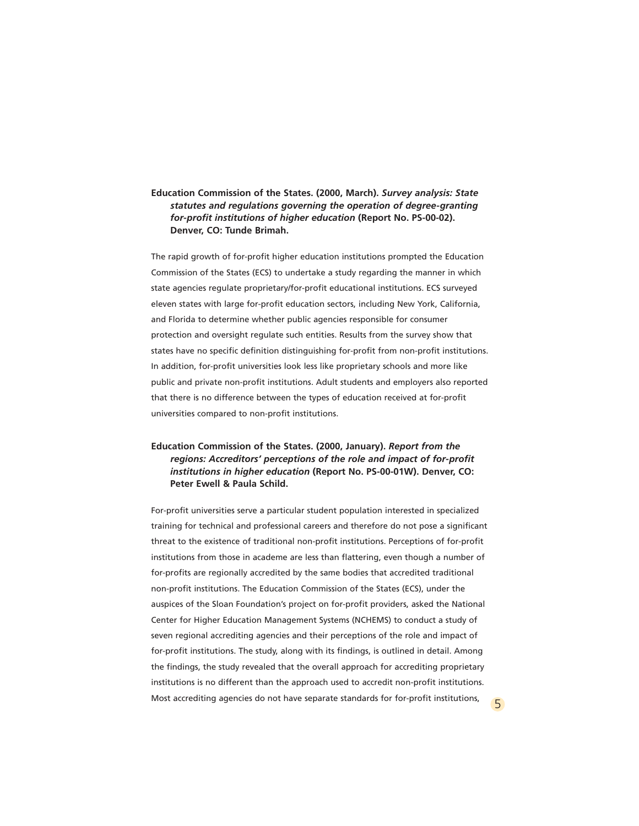#### **Education Commission of the States. (2000, March).** *Survey analysis: State statutes and regulations governing the operation of degree-granting for-profit institutions of higher education* **(Report No. PS-00-02). Denver, CO: Tunde Brimah.**

The rapid growth of for-profit higher education institutions prompted the Education Commission of the States (ECS) to undertake a study regarding the manner in which state agencies regulate proprietary/for-profit educational institutions. ECS surveyed eleven states with large for-profit education sectors, including New York, California, and Florida to determine whether public agencies responsible for consumer protection and oversight regulate such entities. Results from the survey show that states have no specific definition distinguishing for-profit from non-profit institutions. In addition, for-profit universities look less like proprietary schools and more like public and private non-profit institutions. Adult students and employers also reported that there is no difference between the types of education received at for-profit universities compared to non-profit institutions.

#### **Education Commission of the States. (2000, January).** *Report from the regions: Accreditors' perceptions of the role and impact of for-profit institutions in higher education* **(Report No. PS-00-01W). Denver, CO: Peter Ewell & Paula Schild.**

For-profit universities serve a particular student population interested in specialized training for technical and professional careers and therefore do not pose a significant threat to the existence of traditional non-profit institutions. Perceptions of for-profit institutions from those in academe are less than flattering, even though a number of for-profits are regionally accredited by the same bodies that accredited traditional non-profit institutions. The Education Commission of the States (ECS), under the auspices of the Sloan Foundation's project on for-profit providers, asked the National Center for Higher Education Management Systems (NCHEMS) to conduct a study of seven regional accrediting agencies and their perceptions of the role and impact of for-profit institutions. The study, along with its findings, is outlined in detail. Among the findings, the study revealed that the overall approach for accrediting proprietary institutions is no different than the approach used to accredit non-profit institutions. Most accrediting agencies do not have separate standards for for-profit institutions,  $\frac{5}{5}$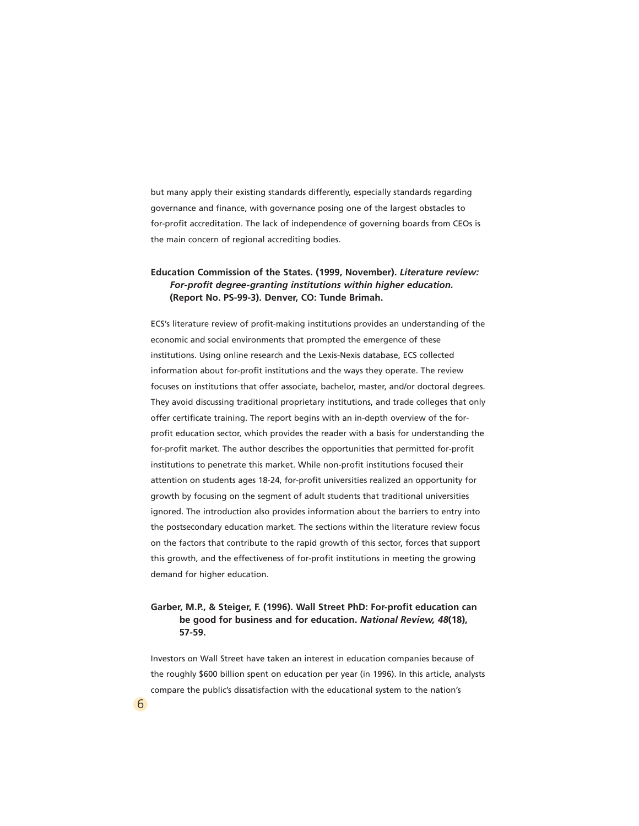but many apply their existing standards differently, especially standards regarding governance and finance, with governance posing one of the largest obstacles to for-profit accreditation. The lack of independence of governing boards from CEOs is the main concern of regional accrediting bodies.

#### **Education Commission of the States. (1999, November).** *Literature review: For-profit degree-granting institutions within higher education.* **(Report No. PS-99-3). Denver, CO: Tunde Brimah.**

ECS's literature review of profit-making institutions provides an understanding of the economic and social environments that prompted the emergence of these institutions. Using online research and the Lexis-Nexis database, ECS collected information about for-profit institutions and the ways they operate. The review focuses on institutions that offer associate, bachelor, master, and/or doctoral degrees. They avoid discussing traditional proprietary institutions, and trade colleges that only offer certificate training. The report begins with an in-depth overview of the forprofit education sector, which provides the reader with a basis for understanding the for-profit market. The author describes the opportunities that permitted for-profit institutions to penetrate this market. While non-profit institutions focused their attention on students ages 18-24, for-profit universities realized an opportunity for growth by focusing on the segment of adult students that traditional universities ignored. The introduction also provides information about the barriers to entry into the postsecondary education market. The sections within the literature review focus on the factors that contribute to the rapid growth of this sector, forces that support this growth, and the effectiveness of for-profit institutions in meeting the growing demand for higher education.

#### **Garber, M.P., & Steiger, F. (1996). Wall Street PhD: For-profit education can be good for business and for education.** *National Review, 48***(18), 57-59.**

Investors on Wall Street have taken an interest in education companies because of the roughly \$600 billion spent on education per year (in 1996). In this article, analysts compare the public's dissatisfaction with the educational system to the nation's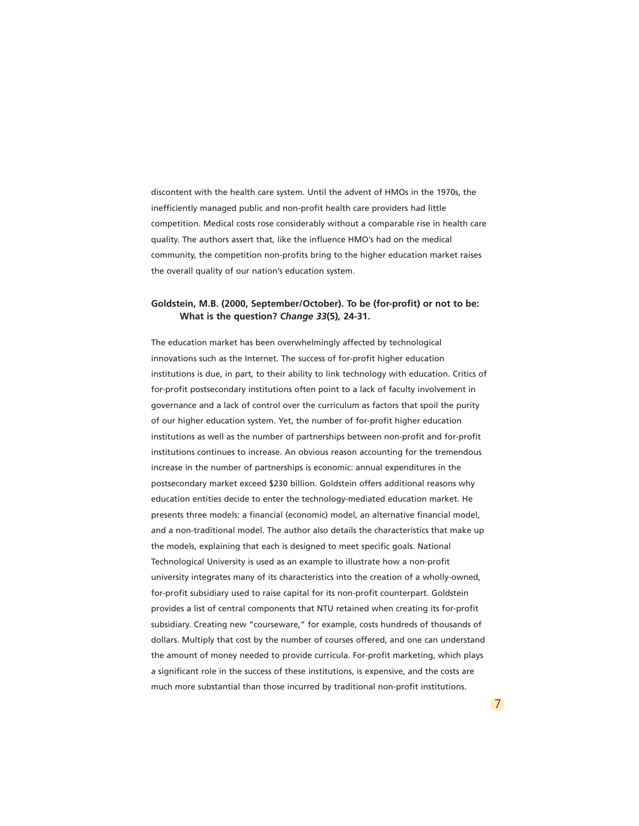discontent with the health care system. Until the advent of HMOs in the 1970s, the inefficiently managed public and non-profit health care providers had little competition. Medical costs rose considerably without a comparable rise in health care quality. The authors assert that, like the influence HMO's had on the medical community, the competition non-profits bring to the higher education market raises the overall quality of our nation's education system.

#### **Goldstein, M.B. (2000, September/October). To be (for-profit) or not to be: What is the question?** *Change 33***(5)***,* **24-31.**

The education market has been overwhelmingly affected by technological innovations such as the Internet. The success of for-profit higher education institutions is due, in part, to their ability to link technology with education. Critics of for-profit postsecondary institutions often point to a lack of faculty involvement in governance and a lack of control over the curriculum as factors that spoil the purity of our higher education system. Yet, the number of for-profit higher education institutions as well as the number of partnerships between non-profit and for-profit institutions continues to increase. An obvious reason accounting for the tremendous increase in the number of partnerships is economic: annual expenditures in the postsecondary market exceed \$230 billion. Goldstein offers additional reasons why education entities decide to enter the technology-mediated education market. He presents three models: a financial (economic) model, an alternative financial model, and a non-traditional model. The author also details the characteristics that make up the models, explaining that each is designed to meet specific goals. National Technological University is used as an example to illustrate how a non-profit university integrates many of its characteristics into the creation of a wholly-owned, for-profit subsidiary used to raise capital for its non-profit counterpart. Goldstein provides a list of central components that NTU retained when creating its for-profit subsidiary. Creating new "courseware," for example, costs hundreds of thousands of dollars. Multiply that cost by the number of courses offered, and one can understand the amount of money needed to provide curricula. For-profit marketing, which plays a significant role in the success of these institutions, is expensive, and the costs are much more substantial than those incurred by traditional non-profit institutions.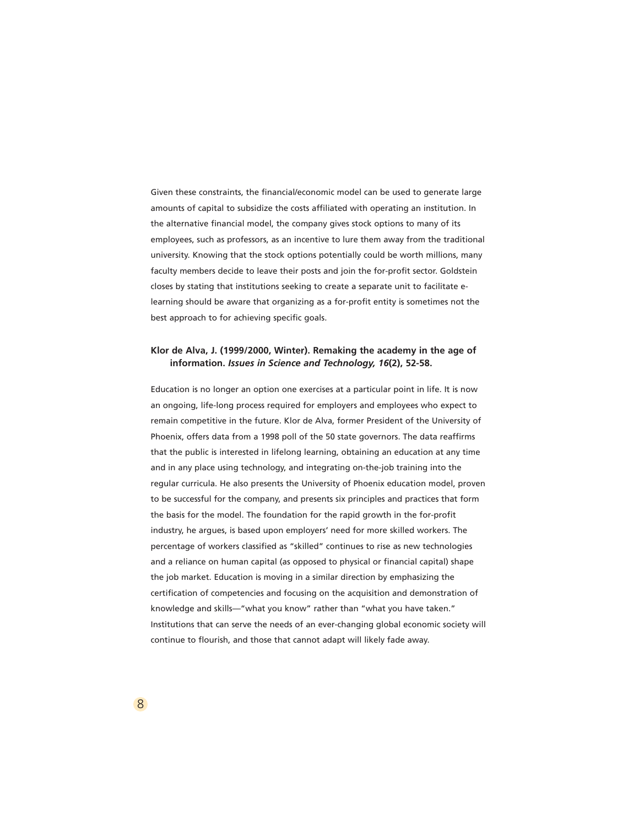Given these constraints, the financial/economic model can be used to generate large amounts of capital to subsidize the costs affiliated with operating an institution. In the alternative financial model, the company gives stock options to many of its employees, such as professors, as an incentive to lure them away from the traditional university. Knowing that the stock options potentially could be worth millions, many faculty members decide to leave their posts and join the for-profit sector. Goldstein closes by stating that institutions seeking to create a separate unit to facilitate elearning should be aware that organizing as a for-profit entity is sometimes not the best approach to for achieving specific goals.

#### **Klor de Alva, J. (1999/2000, Winter). Remaking the academy in the age of information.** *Issues in Science and Technology, 16***(2), 52-58.**

Education is no longer an option one exercises at a particular point in life. It is now an ongoing, life-long process required for employers and employees who expect to remain competitive in the future. Klor de Alva, former President of the University of Phoenix, offers data from a 1998 poll of the 50 state governors. The data reaffirms that the public is interested in lifelong learning, obtaining an education at any time and in any place using technology, and integrating on-the-job training into the regular curricula. He also presents the University of Phoenix education model, proven to be successful for the company, and presents six principles and practices that form the basis for the model. The foundation for the rapid growth in the for-profit industry, he argues, is based upon employers' need for more skilled workers. The percentage of workers classified as "skilled" continues to rise as new technologies and a reliance on human capital (as opposed to physical or financial capital) shape the job market. Education is moving in a similar direction by emphasizing the certification of competencies and focusing on the acquisition and demonstration of knowledge and skills—"what you know" rather than "what you have taken." Institutions that can serve the needs of an ever-changing global economic society will continue to flourish, and those that cannot adapt will likely fade away.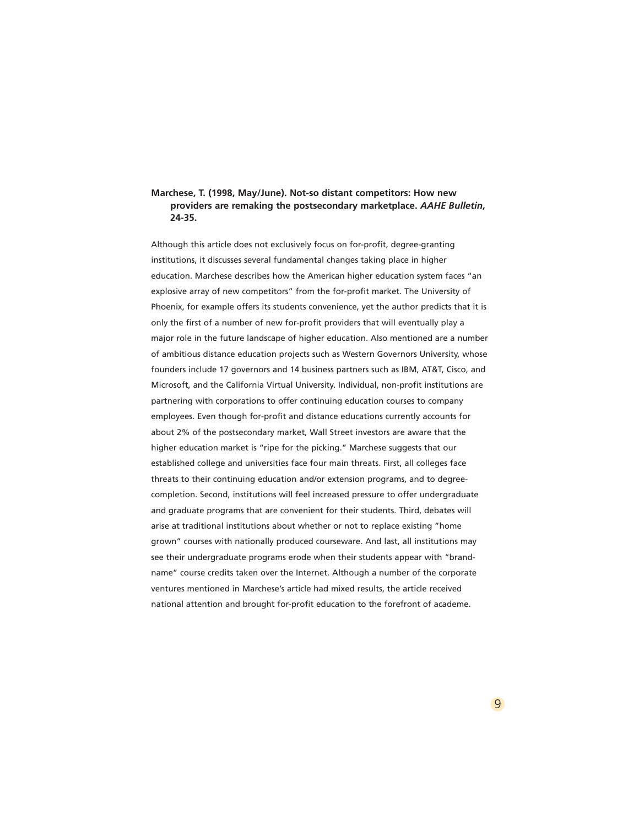#### **Marchese, T. (1998, May/June). Not-so distant competitors: How new providers are remaking the postsecondary marketplace.** *AAHE Bulletin***, 24-35.**

Although this article does not exclusively focus on for-profit, degree-granting institutions, it discusses several fundamental changes taking place in higher education. Marchese describes how the American higher education system faces "an explosive array of new competitors" from the for-profit market. The University of Phoenix, for example offers its students convenience, yet the author predicts that it is only the first of a number of new for-profit providers that will eventually play a major role in the future landscape of higher education. Also mentioned are a number of ambitious distance education projects such as Western Governors University, whose founders include 17 governors and 14 business partners such as IBM, AT&T, Cisco, and Microsoft, and the California Virtual University. Individual, non-profit institutions are partnering with corporations to offer continuing education courses to company employees. Even though for-profit and distance educations currently accounts for about 2% of the postsecondary market, Wall Street investors are aware that the higher education market is "ripe for the picking." Marchese suggests that our established college and universities face four main threats. First, all colleges face threats to their continuing education and/or extension programs, and to degreecompletion. Second, institutions will feel increased pressure to offer undergraduate and graduate programs that are convenient for their students. Third, debates will arise at traditional institutions about whether or not to replace existing "home grown" courses with nationally produced courseware. And last, all institutions may see their undergraduate programs erode when their students appear with "brandname" course credits taken over the Internet. Although a number of the corporate ventures mentioned in Marchese's article had mixed results, the article received national attention and brought for-profit education to the forefront of academe.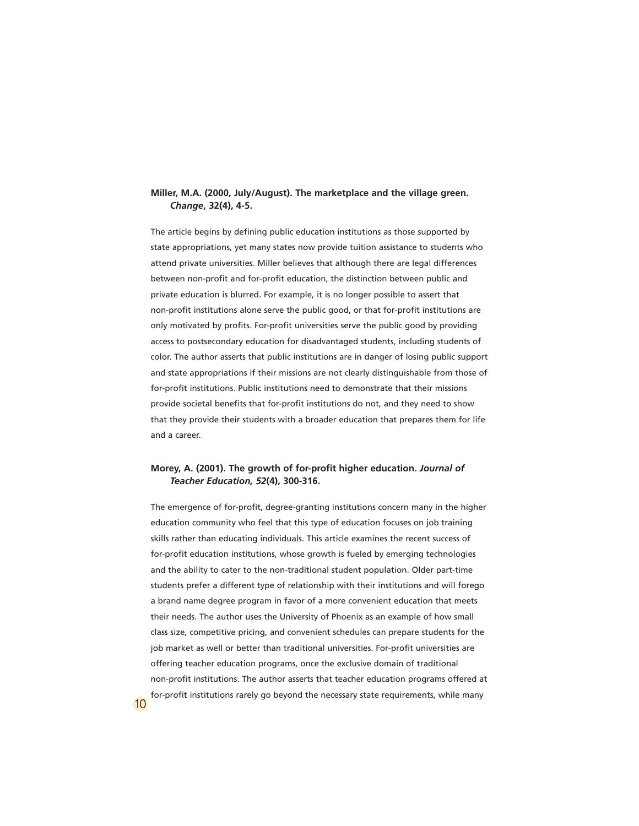#### **Miller, M.A. (2000, July/August). The marketplace and the village green.**  *Change***, 32(4), 4-5.**

The article begins by defining public education institutions as those supported by state appropriations, yet many states now provide tuition assistance to students who attend private universities. Miller believes that although there are legal differences between non-profit and for-profit education, the distinction between public and private education is blurred. For example, it is no longer possible to assert that non-profit institutions alone serve the public good, or that for-profit institutions are only motivated by profits. For-profit universities serve the public good by providing access to postsecondary education for disadvantaged students, including students of color. The author asserts that public institutions are in danger of losing public support and state appropriations if their missions are not clearly distinguishable from those of for-profit institutions. Public institutions need to demonstrate that their missions provide societal benefits that for-profit institutions do not, and they need to show that they provide their students with a broader education that prepares them for life and a career.

#### **Morey, A. (2001). The growth of for-profit higher education.** *Journal of Teacher Education, 52***(4), 300-316.**

The emergence of for-profit, degree-granting institutions concern many in the higher education community who feel that this type of education focuses on job training skills rather than educating individuals. This article examines the recent success of for-profit education institutions, whose growth is fueled by emerging technologies and the ability to cater to the non-traditional student population. Older part-time students prefer a different type of relationship with their institutions and will forego a brand name degree program in favor of a more convenient education that meets their needs. The author uses the University of Phoenix as an example of how small class size, competitive pricing, and convenient schedules can prepare students for the job market as well or better than traditional universities. For-profit universities are offering teacher education programs, once the exclusive domain of traditional non-profit institutions. The author asserts that teacher education programs offered at for-profit institutions rarely go beyond the necessary state requirements, while many

10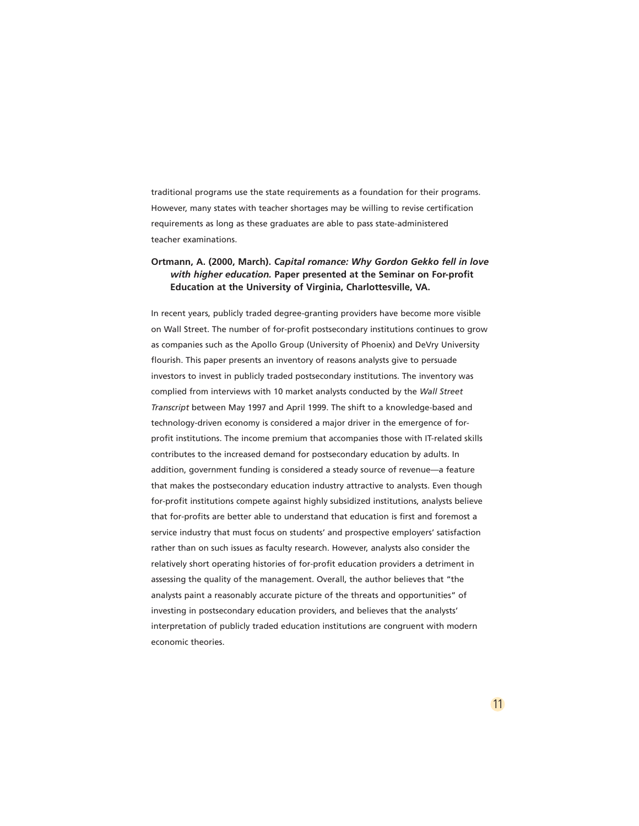traditional programs use the state requirements as a foundation for their programs. However, many states with teacher shortages may be willing to revise certification requirements as long as these graduates are able to pass state-administered teacher examinations.

#### **Ortmann, A. (2000, March).** *Capital romance: Why Gordon Gekko fell in love with higher education.* **Paper presented at the Seminar on For-profit Education at the University of Virginia, Charlottesville, VA.**

In recent years, publicly traded degree-granting providers have become more visible on Wall Street. The number of for-profit postsecondary institutions continues to grow as companies such as the Apollo Group (University of Phoenix) and DeVry University flourish. This paper presents an inventory of reasons analysts give to persuade investors to invest in publicly traded postsecondary institutions. The inventory was complied from interviews with 10 market analysts conducted by the *Wall Street Transcript* between May 1997 and April 1999. The shift to a knowledge-based and technology-driven economy is considered a major driver in the emergence of forprofit institutions. The income premium that accompanies those with IT-related skills contributes to the increased demand for postsecondary education by adults. In addition, government funding is considered a steady source of revenue—a feature that makes the postsecondary education industry attractive to analysts. Even though for-profit institutions compete against highly subsidized institutions, analysts believe that for-profits are better able to understand that education is first and foremost a service industry that must focus on students' and prospective employers' satisfaction rather than on such issues as faculty research. However, analysts also consider the relatively short operating histories of for-profit education providers a detriment in assessing the quality of the management. Overall, the author believes that "the analysts paint a reasonably accurate picture of the threats and opportunities" of investing in postsecondary education providers, and believes that the analysts' interpretation of publicly traded education institutions are congruent with modern economic theories.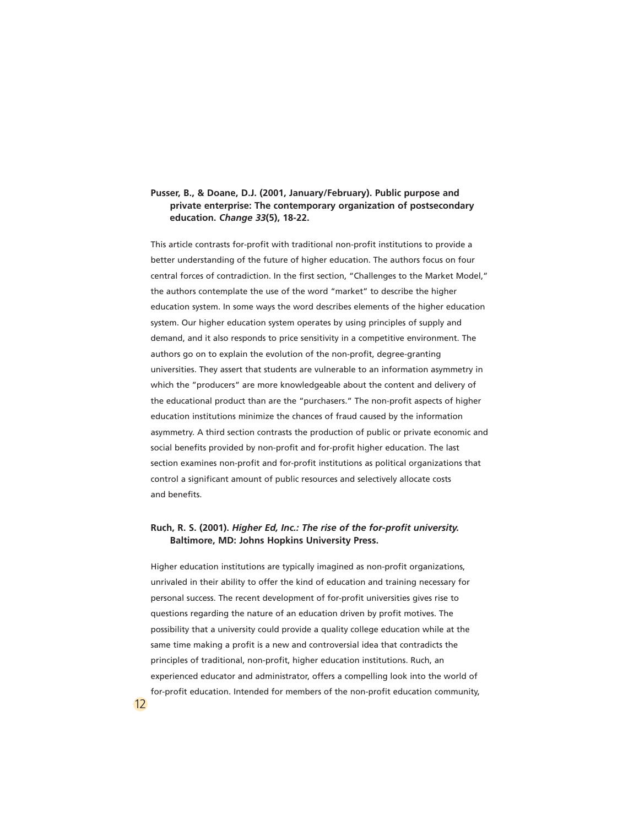#### **Pusser, B., & Doane, D.J. (2001, January/February). Public purpose and private enterprise: The contemporary organization of postsecondary education.** *Change 33***(5), 18-22.**

This article contrasts for-profit with traditional non-profit institutions to provide a better understanding of the future of higher education. The authors focus on four central forces of contradiction. In the first section, "Challenges to the Market Model," the authors contemplate the use of the word "market" to describe the higher education system. In some ways the word describes elements of the higher education system. Our higher education system operates by using principles of supply and demand, and it also responds to price sensitivity in a competitive environment. The authors go on to explain the evolution of the non-profit, degree-granting universities. They assert that students are vulnerable to an information asymmetry in which the "producers" are more knowledgeable about the content and delivery of the educational product than are the "purchasers." The non-profit aspects of higher education institutions minimize the chances of fraud caused by the information asymmetry. A third section contrasts the production of public or private economic and social benefits provided by non-profit and for-profit higher education. The last section examines non-profit and for-profit institutions as political organizations that control a significant amount of public resources and selectively allocate costs and benefits.

#### **Ruch, R. S. (2001).** *Higher Ed, Inc.: The rise of the for-profit university.* **Baltimore, MD: Johns Hopkins University Press.**

Higher education institutions are typically imagined as non-profit organizations, unrivaled in their ability to offer the kind of education and training necessary for personal success. The recent development of for-profit universities gives rise to questions regarding the nature of an education driven by profit motives. The possibility that a university could provide a quality college education while at the same time making a profit is a new and controversial idea that contradicts the principles of traditional, non-profit, higher education institutions. Ruch, an experienced educator and administrator, offers a compelling look into the world of for-profit education. Intended for members of the non-profit education community,

12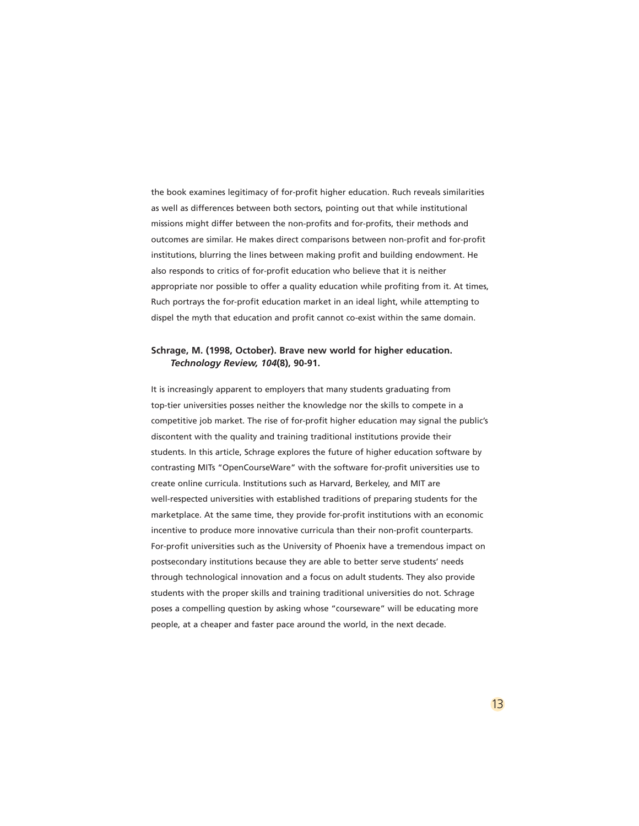the book examines legitimacy of for-profit higher education. Ruch reveals similarities as well as differences between both sectors, pointing out that while institutional missions might differ between the non-profits and for-profits, their methods and outcomes are similar. He makes direct comparisons between non-profit and for-profit institutions, blurring the lines between making profit and building endowment. He also responds to critics of for-profit education who believe that it is neither appropriate nor possible to offer a quality education while profiting from it. At times, Ruch portrays the for-profit education market in an ideal light, while attempting to dispel the myth that education and profit cannot co-exist within the same domain.

#### **Schrage, M. (1998, October). Brave new world for higher education.**  *Technology Review, 104***(8), 90-91.**

It is increasingly apparent to employers that many students graduating from top-tier universities posses neither the knowledge nor the skills to compete in a competitive job market. The rise of for-profit higher education may signal the public's discontent with the quality and training traditional institutions provide their students. In this article, Schrage explores the future of higher education software by contrasting MITs "OpenCourseWare" with the software for-profit universities use to create online curricula. Institutions such as Harvard, Berkeley, and MIT are well-respected universities with established traditions of preparing students for the marketplace. At the same time, they provide for-profit institutions with an economic incentive to produce more innovative curricula than their non-profit counterparts. For-profit universities such as the University of Phoenix have a tremendous impact on postsecondary institutions because they are able to better serve students' needs through technological innovation and a focus on adult students. They also provide students with the proper skills and training traditional universities do not. Schrage poses a compelling question by asking whose "courseware" will be educating more people, at a cheaper and faster pace around the world, in the next decade.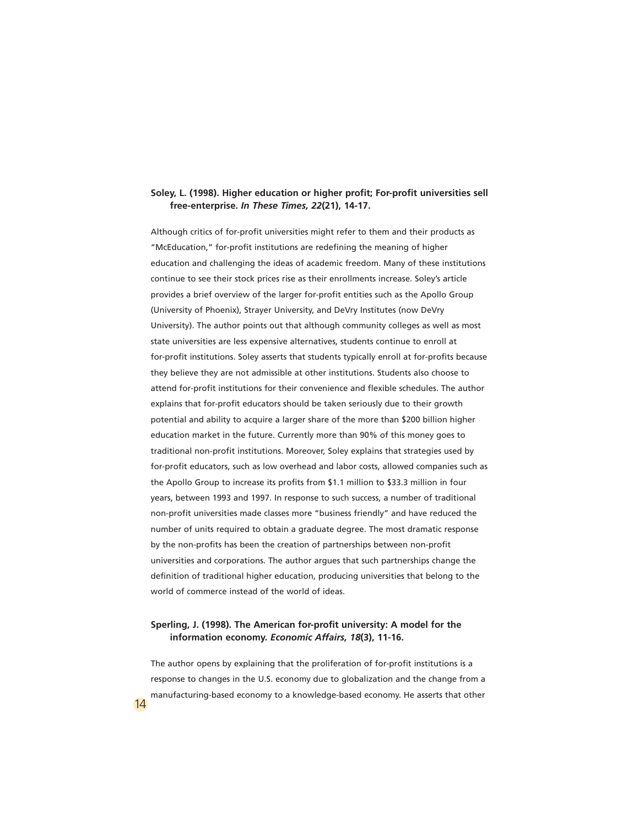#### **Soley, L. (1998). Higher education or higher profit; For-profit universities sell free-enterprise.** *In These Times, 22***(21), 14-17.**

Although critics of for-profit universities might refer to them and their products as "McEducation," for-profit institutions are redefining the meaning of higher education and challenging the ideas of academic freedom. Many of these institutions continue to see their stock prices rise as their enrollments increase. Soley's article provides a brief overview of the larger for-profit entities such as the Apollo Group (University of Phoenix), Strayer University, and DeVry Institutes (now DeVry University). The author points out that although community colleges as well as most state universities are less expensive alternatives, students continue to enroll at for-profit institutions. Soley asserts that students typically enroll at for-profits because they believe they are not admissible at other institutions. Students also choose to attend for-profit institutions for their convenience and flexible schedules. The author explains that for-profit educators should be taken seriously due to their growth potential and ability to acquire a larger share of the more than \$200 billion higher education market in the future. Currently more than 90% of this money goes to traditional non-profit institutions. Moreover, Soley explains that strategies used by for-profit educators, such as low overhead and labor costs, allowed companies such as the Apollo Group to increase its profits from \$1.1 million to \$33.3 million in four years, between 1993 and 1997. In response to such success, a number of traditional non-profit universities made classes more "business friendly" and have reduced the number of units required to obtain a graduate degree. The most dramatic response by the non-profits has been the creation of partnerships between non-profit universities and corporations. The author argues that such partnerships change the definition of traditional higher education, producing universities that belong to the world of commerce instead of the world of ideas.

#### **Sperling, J. (1998). The American for-profit university: A model for the information economy.** *Economic Affairs, 18***(3), 11-16.**

The author opens by explaining that the proliferation of for-profit institutions is a response to changes in the U.S. economy due to globalization and the change from a manufacturing-based economy to a knowledge-based economy. He asserts that other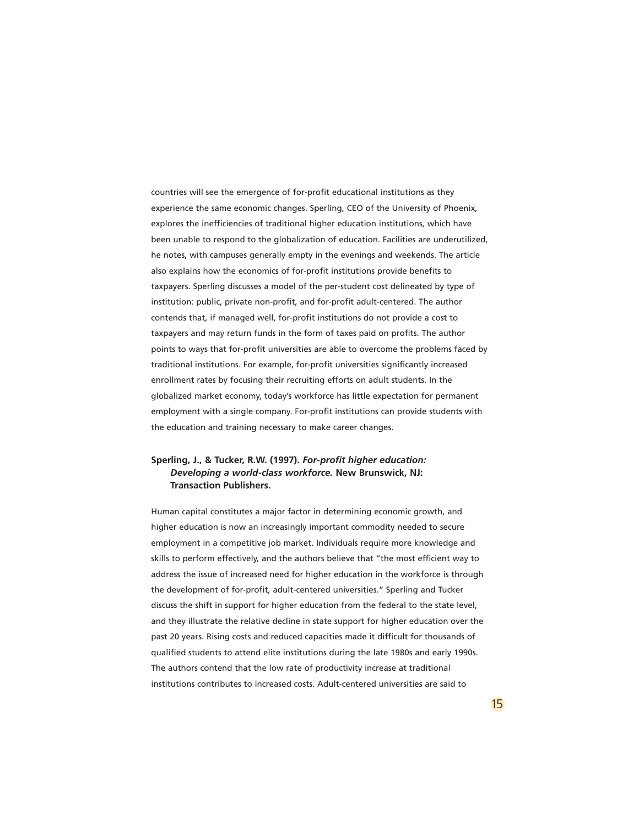countries will see the emergence of for-profit educational institutions as they experience the same economic changes. Sperling, CEO of the University of Phoenix, explores the inefficiencies of traditional higher education institutions, which have been unable to respond to the globalization of education. Facilities are underutilized, he notes, with campuses generally empty in the evenings and weekends. The article also explains how the economics of for-profit institutions provide benefits to taxpayers. Sperling discusses a model of the per-student cost delineated by type of institution: public, private non-profit, and for-profit adult-centered. The author contends that, if managed well, for-profit institutions do not provide a cost to taxpayers and may return funds in the form of taxes paid on profits. The author points to ways that for-profit universities are able to overcome the problems faced by traditional institutions. For example, for-profit universities significantly increased enrollment rates by focusing their recruiting efforts on adult students. In the globalized market economy, today's workforce has little expectation for permanent employment with a single company. For-profit institutions can provide students with the education and training necessary to make career changes.

#### **Sperling, J., & Tucker, R.W. (1997).** *For-profit higher education: Developing a world-class workforce.* **New Brunswick, NJ: Transaction Publishers.**

Human capital constitutes a major factor in determining economic growth, and higher education is now an increasingly important commodity needed to secure employment in a competitive job market. Individuals require more knowledge and skills to perform effectively, and the authors believe that "the most efficient way to address the issue of increased need for higher education in the workforce is through the development of for-profit, adult-centered universities." Sperling and Tucker discuss the shift in support for higher education from the federal to the state level, and they illustrate the relative decline in state support for higher education over the past 20 years. Rising costs and reduced capacities made it difficult for thousands of qualified students to attend elite institutions during the late 1980s and early 1990s. The authors contend that the low rate of productivity increase at traditional institutions contributes to increased costs. Adult-centered universities are said to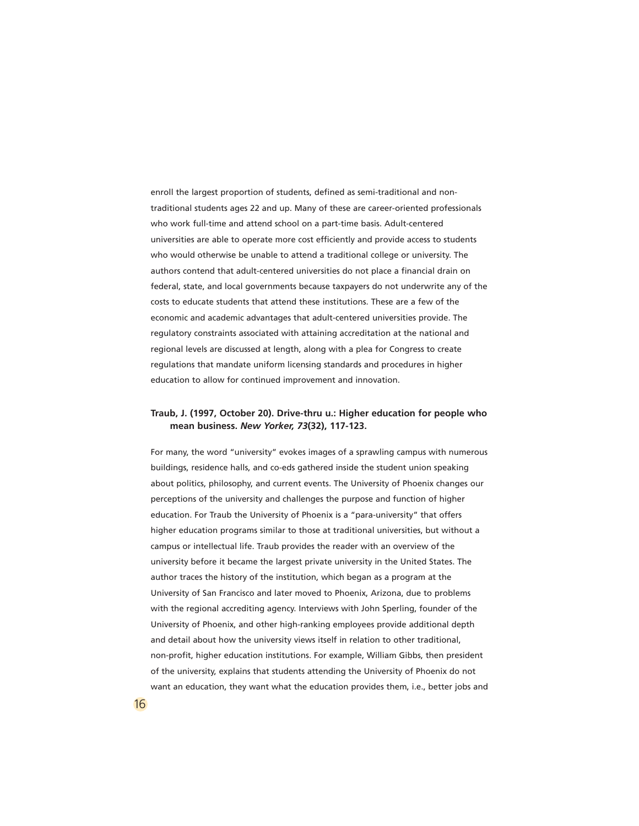enroll the largest proportion of students, defined as semi-traditional and nontraditional students ages 22 and up. Many of these are career-oriented professionals who work full-time and attend school on a part-time basis. Adult-centered universities are able to operate more cost efficiently and provide access to students who would otherwise be unable to attend a traditional college or university. The authors contend that adult-centered universities do not place a financial drain on federal, state, and local governments because taxpayers do not underwrite any of the costs to educate students that attend these institutions. These are a few of the economic and academic advantages that adult-centered universities provide. The regulatory constraints associated with attaining accreditation at the national and regional levels are discussed at length, along with a plea for Congress to create regulations that mandate uniform licensing standards and procedures in higher education to allow for continued improvement and innovation.

#### **Traub, J. (1997, October 20). Drive-thru u.: Higher education for people who mean business.** *New Yorker, 73***(32), 117-123.**

For many, the word "university" evokes images of a sprawling campus with numerous buildings, residence halls, and co-eds gathered inside the student union speaking about politics, philosophy, and current events. The University of Phoenix changes our perceptions of the university and challenges the purpose and function of higher education. For Traub the University of Phoenix is a "para-university" that offers higher education programs similar to those at traditional universities, but without a campus or intellectual life. Traub provides the reader with an overview of the university before it became the largest private university in the United States. The author traces the history of the institution, which began as a program at the University of San Francisco and later moved to Phoenix, Arizona, due to problems with the regional accrediting agency. Interviews with John Sperling, founder of the University of Phoenix, and other high-ranking employees provide additional depth and detail about how the university views itself in relation to other traditional, non-profit, higher education institutions. For example, William Gibbs, then president of the university, explains that students attending the University of Phoenix do not want an education, they want what the education provides them, i.e., better jobs and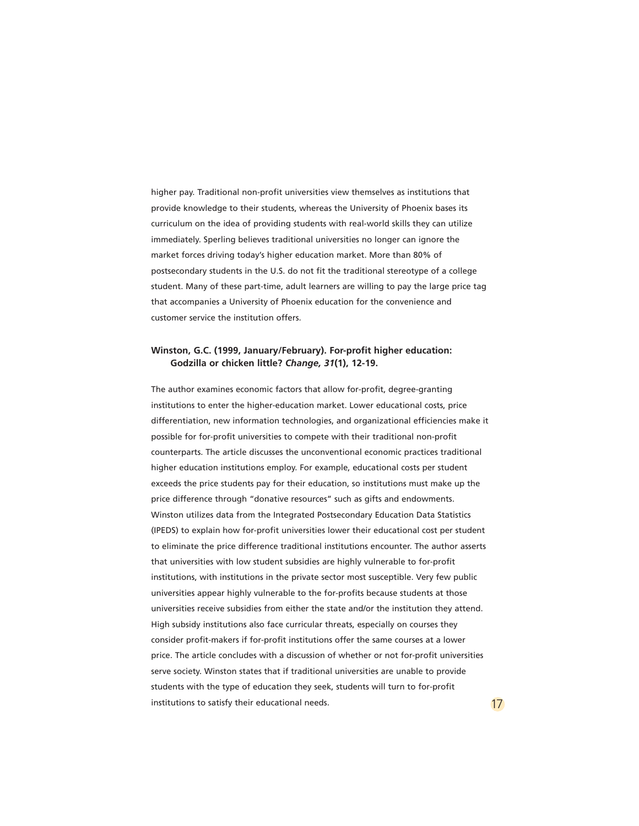higher pay. Traditional non-profit universities view themselves as institutions that provide knowledge to their students, whereas the University of Phoenix bases its curriculum on the idea of providing students with real-world skills they can utilize immediately. Sperling believes traditional universities no longer can ignore the market forces driving today's higher education market. More than 80% of postsecondary students in the U.S. do not fit the traditional stereotype of a college student. Many of these part-time, adult learners are willing to pay the large price tag that accompanies a University of Phoenix education for the convenience and customer service the institution offers.

#### **Winston, G.C. (1999, January/February). For-profit higher education: Godzilla or chicken little?** *Change, 31***(1), 12-19.**

The author examines economic factors that allow for-profit, degree-granting institutions to enter the higher-education market. Lower educational costs, price differentiation, new information technologies, and organizational efficiencies make it possible for for-profit universities to compete with their traditional non-profit counterparts. The article discusses the unconventional economic practices traditional higher education institutions employ. For example, educational costs per student exceeds the price students pay for their education, so institutions must make up the price difference through "donative resources" such as gifts and endowments. Winston utilizes data from the Integrated Postsecondary Education Data Statistics (IPEDS) to explain how for-profit universities lower their educational cost per student to eliminate the price difference traditional institutions encounter. The author asserts that universities with low student subsidies are highly vulnerable to for-profit institutions, with institutions in the private sector most susceptible. Very few public universities appear highly vulnerable to the for-profits because students at those universities receive subsidies from either the state and/or the institution they attend. High subsidy institutions also face curricular threats, especially on courses they consider profit-makers if for-profit institutions offer the same courses at a lower price. The article concludes with a discussion of whether or not for-profit universities serve society. Winston states that if traditional universities are unable to provide students with the type of education they seek, students will turn to for-profit institutions to satisfy their educational needs.  $17$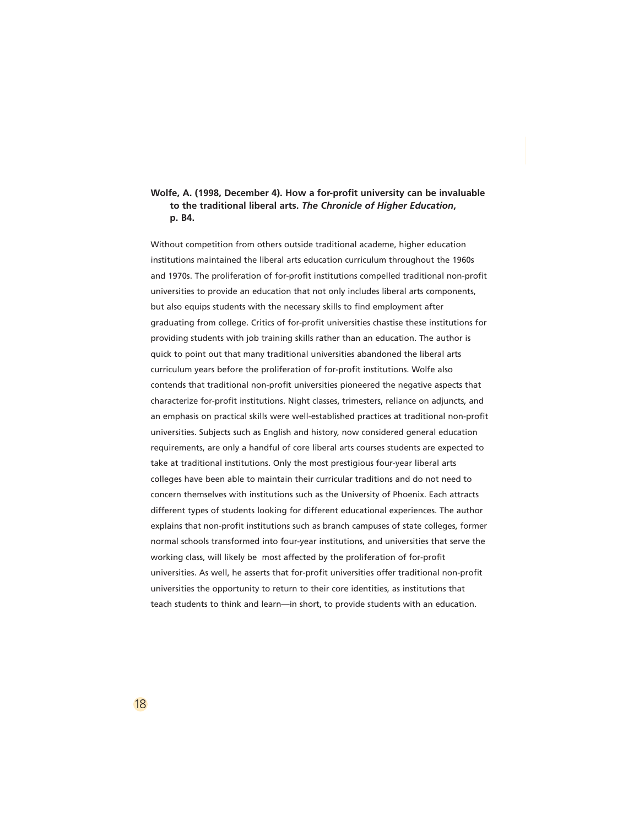#### **Wolfe, A. (1998, December 4). How a for-profit university can be invaluable to the traditional liberal arts.** *The Chronicle of Higher Education***, p. B4.**

D

Without competition from others outside traditional academe, higher education institutions maintained the liberal arts education curriculum throughout the 1960s and 1970s. The proliferation of for-profit institutions compelled traditional non-profit universities to provide an education that not only includes liberal arts components, but also equips students with the necessary skills to find employment after graduating from college. Critics of for-profit universities chastise these institutions for providing students with job training skills rather than an education. The author is quick to point out that many traditional universities abandoned the liberal arts curriculum years before the proliferation of for-profit institutions. Wolfe also contends that traditional non-profit universities pioneered the negative aspects that characterize for-profit institutions. Night classes, trimesters, reliance on adjuncts, and an emphasis on practical skills were well-established practices at traditional non-profit universities. Subjects such as English and history, now considered general education requirements, are only a handful of core liberal arts courses students are expected to take at traditional institutions. Only the most prestigious four-year liberal arts colleges have been able to maintain their curricular traditions and do not need to concern themselves with institutions such as the University of Phoenix. Each attracts different types of students looking for different educational experiences. The author explains that non-profit institutions such as branch campuses of state colleges, former normal schools transformed into four-year institutions, and universities that serve the working class, will likely be most affected by the proliferation of for-profit universities. As well, he asserts that for-profit universities offer traditional non-profit universities the opportunity to return to their core identities, as institutions that teach students to think and learn—in short, to provide students with an education.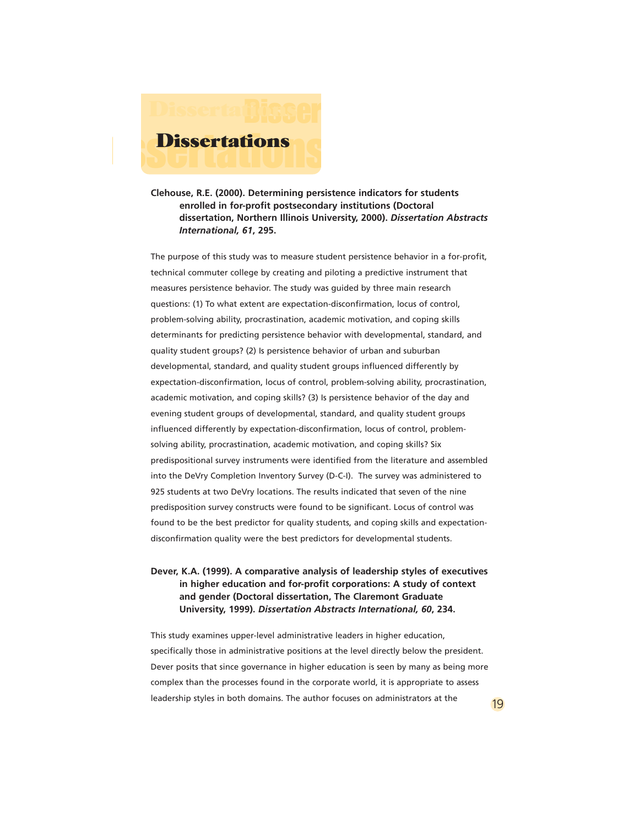

**Clehouse, R.E. (2000). Determining persistence indicators for students enrolled in for-profit postsecondary institutions (Doctoral dissertation, Northern Illinois University, 2000).** *Dissertation Abstracts International, 61***, 295.**

The purpose of this study was to measure student persistence behavior in a for-profit, technical commuter college by creating and piloting a predictive instrument that measures persistence behavior. The study was guided by three main research questions: (1) To what extent are expectation-disconfirmation, locus of control, problem-solving ability, procrastination, academic motivation, and coping skills determinants for predicting persistence behavior with developmental, standard, and quality student groups? (2) Is persistence behavior of urban and suburban developmental, standard, and quality student groups influenced differently by expectation-disconfirmation, locus of control, problem-solving ability, procrastination, academic motivation, and coping skills? (3) Is persistence behavior of the day and evening student groups of developmental, standard, and quality student groups influenced differently by expectation-disconfirmation, locus of control, problemsolving ability, procrastination, academic motivation, and coping skills? Six predispositional survey instruments were identified from the literature and assembled into the DeVry Completion Inventory Survey (D-C-I). The survey was administered to 925 students at two DeVry locations. The results indicated that seven of the nine predisposition survey constructs were found to be significant. Locus of control was found to be the best predictor for quality students, and coping skills and expectationdisconfirmation quality were the best predictors for developmental students.

#### **Dever, K.A. (1999). A comparative analysis of leadership styles of executives in higher education and for-profit corporations: A study of context and gender (Doctoral dissertation, The Claremont Graduate University, 1999).** *Dissertation Abstracts International, 60***, 234.**

This study examines upper-level administrative leaders in higher education, specifically those in administrative positions at the level directly below the president. Dever posits that since governance in higher education is seen by many as being more complex than the processes found in the corporate world, it is appropriate to assess leadership styles in both domains. The author focuses on administrators at the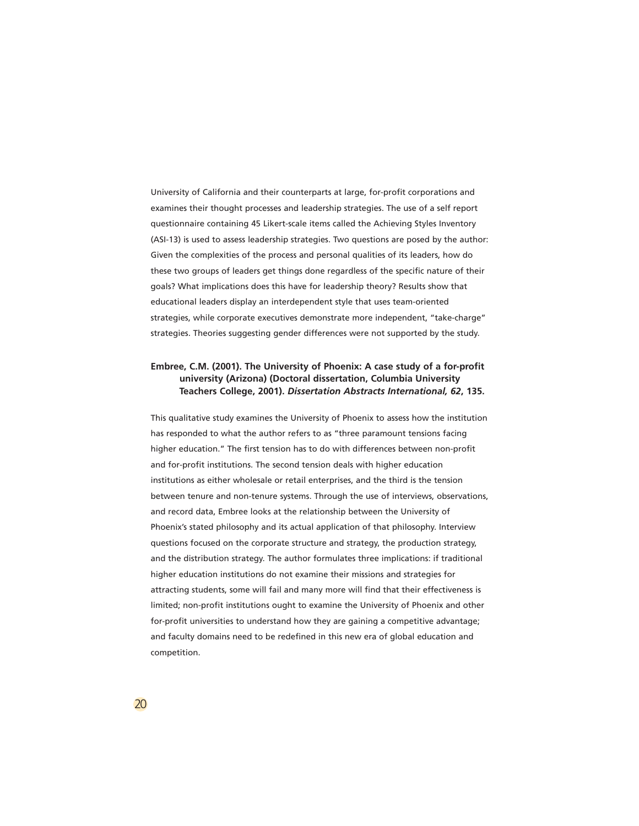University of California and their counterparts at large, for-profit corporations and examines their thought processes and leadership strategies. The use of a self report questionnaire containing 45 Likert-scale items called the Achieving Styles Inventory (ASI-13) is used to assess leadership strategies. Two questions are posed by the author: Given the complexities of the process and personal qualities of its leaders, how do these two groups of leaders get things done regardless of the specific nature of their goals? What implications does this have for leadership theory? Results show that educational leaders display an interdependent style that uses team-oriented strategies, while corporate executives demonstrate more independent, "take-charge" strategies. Theories suggesting gender differences were not supported by the study.

#### **Embree, C.M. (2001). The University of Phoenix: A case study of a for-profit university (Arizona) (Doctoral dissertation, Columbia University Teachers College, 2001).** *Dissertation Abstracts International, 62***, 135.**

This qualitative study examines the University of Phoenix to assess how the institution has responded to what the author refers to as "three paramount tensions facing higher education." The first tension has to do with differences between non-profit and for-profit institutions. The second tension deals with higher education institutions as either wholesale or retail enterprises, and the third is the tension between tenure and non-tenure systems. Through the use of interviews, observations, and record data, Embree looks at the relationship between the University of Phoenix's stated philosophy and its actual application of that philosophy. Interview questions focused on the corporate structure and strategy, the production strategy, and the distribution strategy. The author formulates three implications: if traditional higher education institutions do not examine their missions and strategies for attracting students, some will fail and many more will find that their effectiveness is limited; non-profit institutions ought to examine the University of Phoenix and other for-profit universities to understand how they are gaining a competitive advantage; and faculty domains need to be redefined in this new era of global education and competition.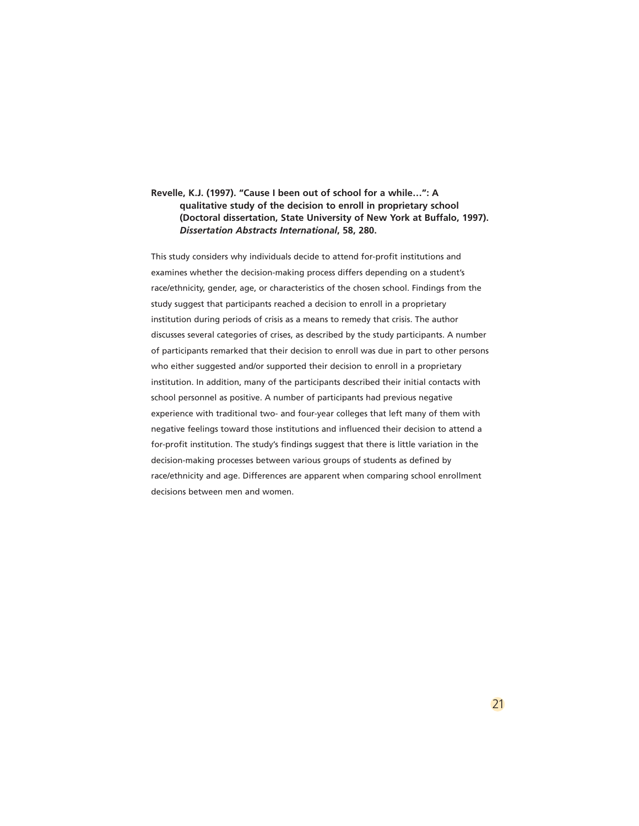#### **Revelle, K.J. (1997). "Cause I been out of school for a while…": A qualitative study of the decision to enroll in proprietary school (Doctoral dissertation, State University of New York at Buffalo, 1997).** *Dissertation Abstracts International***, 58, 280.**

This study considers why individuals decide to attend for-profit institutions and examines whether the decision-making process differs depending on a student's race/ethnicity, gender, age, or characteristics of the chosen school. Findings from the study suggest that participants reached a decision to enroll in a proprietary institution during periods of crisis as a means to remedy that crisis. The author discusses several categories of crises, as described by the study participants. A number of participants remarked that their decision to enroll was due in part to other persons who either suggested and/or supported their decision to enroll in a proprietary institution. In addition, many of the participants described their initial contacts with school personnel as positive. A number of participants had previous negative experience with traditional two- and four-year colleges that left many of them with negative feelings toward those institutions and influenced their decision to attend a for-profit institution. The study's findings suggest that there is little variation in the decision-making processes between various groups of students as defined by race/ethnicity and age. Differences are apparent when comparing school enrollment decisions between men and women.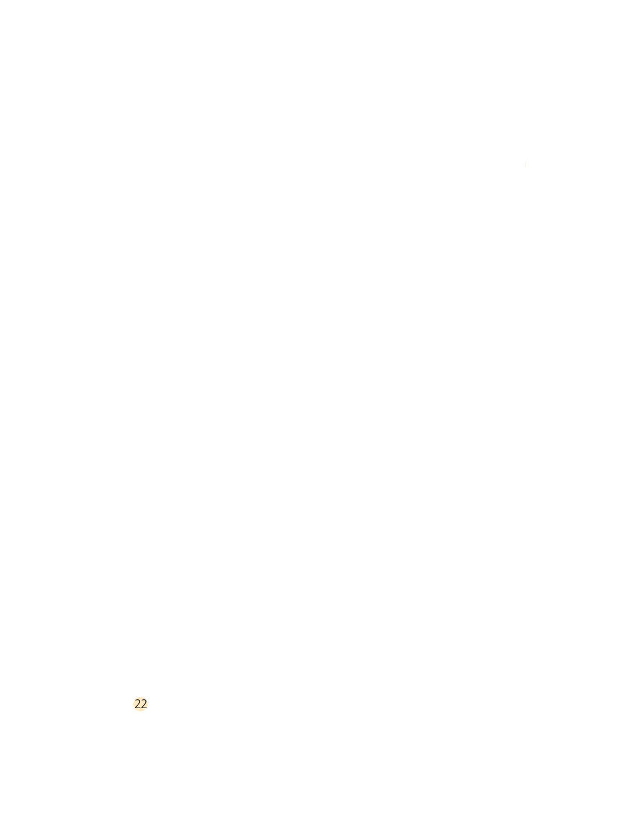22

 $\sim$  Au  $\sim$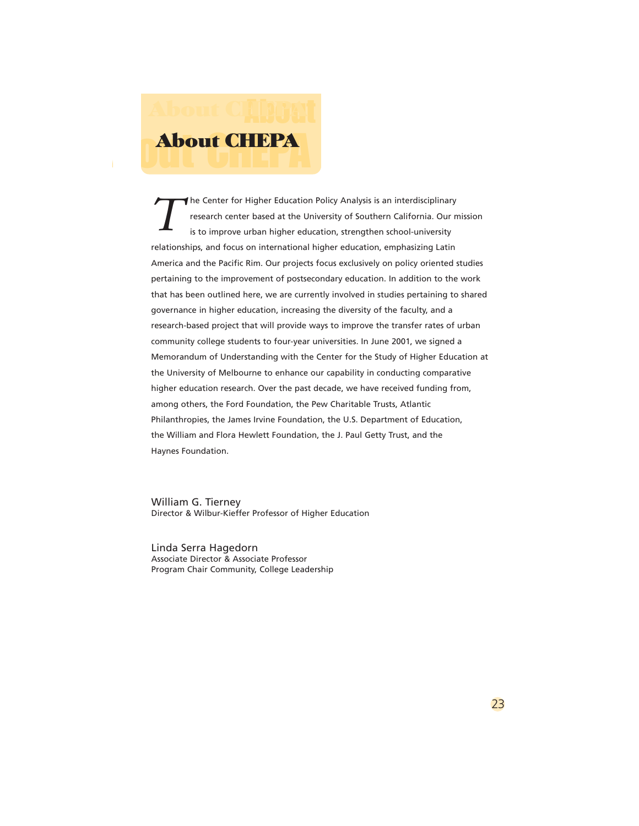

*T*he Center for Higher Education Policy Analysis is an interdisciplinary research center based at the University of Southern California. Our mission is to improve urban higher education, strengthen school-university relationships, and focus on international higher education, emphasizing Latin America and the Pacific Rim. Our projects focus exclusively on policy oriented studies pertaining to the improvement of postsecondary education. In addition to the work that has been outlined here, we are currently involved in studies pertaining to shared governance in higher education, increasing the diversity of the faculty, and a research-based project that will provide ways to improve the transfer rates of urban community college students to four-year universities. In June 2001, we signed a Memorandum of Understanding with the Center for the Study of Higher Education at the University of Melbourne to enhance our capability in conducting comparative higher education research. Over the past decade, we have received funding from, among others, the Ford Foundation, the Pew Charitable Trusts, Atlantic Philanthropies, the James Irvine Foundation, the U.S. Department of Education, the William and Flora Hewlett Foundation, the J. Paul Getty Trust, and the Haynes Foundation.

William G. Tierney Director & Wilbur-Kieffer Professor of Higher Education

Linda Serra Hagedorn Associate Director & Associate Professor Program Chair Community, College Leadership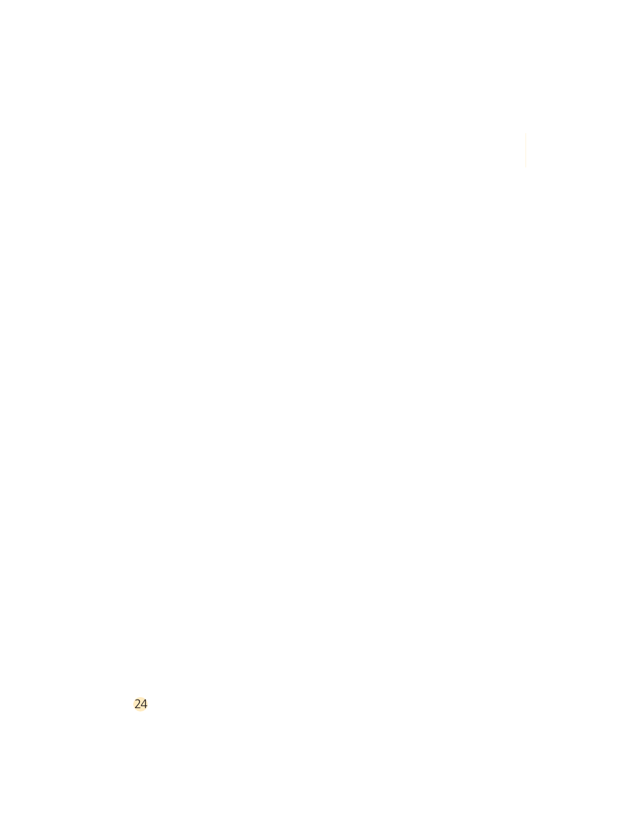$\mathcal{L}_{\mathcal{A}}$